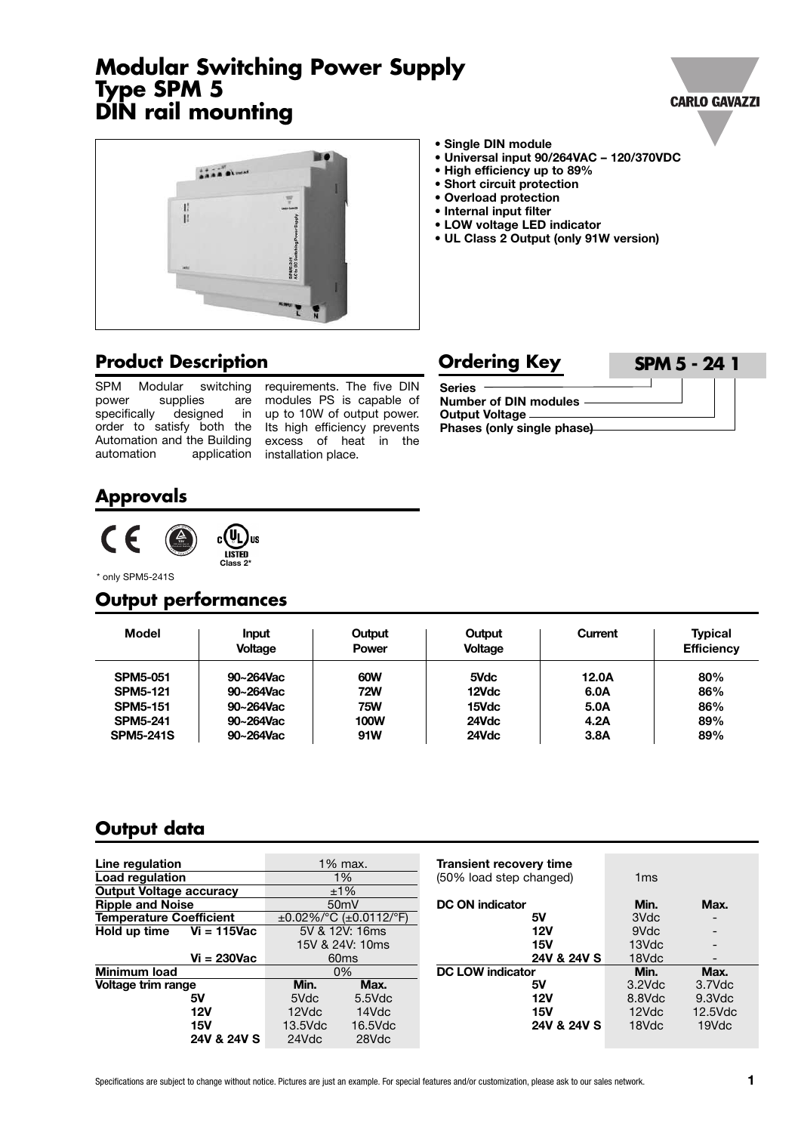# **Modular Switching Power Supply Type SPM 5 DIN rail mounting**



- **• High efficiency up to 89%**
- **• Short circuit protection**
- **• Overload protection**
- **• Internal input filter**
- **• LOW voltage LED indicator**
- **• UL Class 2 Output (only 91W version)**

#### **Product Description**

SPM Modular switching<br>power supplies are supplies are specifically designed in order to satisfy both the Its high efficiency prevents Automation and the Building excess of heat in the automation application installation place.

modules PS is capable of up to 10W of output power.

| <b>Ordering Key</b>                                                                      | <b>SPM 5 - 24 1</b> |
|------------------------------------------------------------------------------------------|---------------------|
| <b>Series</b><br>Number of DIN modules<br>Output Voltage —<br>Phases (only single phase) |                     |

# **Approvals**



\* only SPM5-241S

# **Output performances**

| <b>Model</b>     | Input<br><b>Voltage</b> | Output<br><b>Power</b> | Output<br><b>Voltage</b> | Current | <b>Typical</b><br><b>Efficiency</b> |
|------------------|-------------------------|------------------------|--------------------------|---------|-------------------------------------|
| <b>SPM5-051</b>  | 90~264Vac               | 60W                    | 5Vdc                     | 12.0A   | 80%                                 |
| <b>SPM5-121</b>  | 90~264Vac               | <b>72W</b>             | 12Vdc                    | 6.0A    | 86%                                 |
| <b>SPM5-151</b>  | 90~264Vac               | <b>75W</b>             | 15Vdc                    | 5.0A    | 86%                                 |
| <b>SPM5-241</b>  | 90~264Vac               | <b>100W</b>            | 24Vdc                    | 4.2A    | 89%                                 |
| <b>SPM5-241S</b> | 90~264Vac               | 91W                    | 24Vdc                    | 3.8A    | 89%                                 |

# **Output data**

| Line regulation                |            | $1\%$ max.                           | <b>Transient recovery time</b> |                 |                          |
|--------------------------------|------------|--------------------------------------|--------------------------------|-----------------|--------------------------|
| Load regulation                |            | $1\%$                                | (50% load step changed)        | 1 <sub>ms</sub> |                          |
| <b>Output Voltage accuracy</b> |            | ±1%                                  |                                |                 |                          |
| <b>Ripple and Noise</b>        |            | 50 <sub>m</sub> V                    | <b>DC ON indicator</b>         | Min.            | Max.                     |
| <b>Temperature Coefficient</b> |            | $\pm 0.02\%$ /°C ( $\pm 0.0112$ /°F) | 5۷                             | 3Vdc            | $\overline{\phantom{a}}$ |
| Hold up time<br>$Vi = 115$ Vac |            | 5V & 12V: 16ms                       | 12V                            | 9Vdc            | $\overline{\phantom{0}}$ |
|                                |            | 15V & 24V: 10ms                      | 15V                            | 13Vdc           |                          |
| $Vi = 230Vac$                  |            | 60 <sub>ms</sub>                     | 24V & 24V S                    | 18Vdc           |                          |
| Minimum load                   |            | 0%                                   | <b>DC LOW indicator</b>        | Min.            | Max.                     |
| Voltage trim range             | Min.       | Max.                                 | 5۷                             | $3.2$ Vdc       | 3.7Vdc                   |
| 5۷                             | 5Vdc       | $5.5$ Vdc                            | 12V                            | 8.8Vdc          | $9.3$ Vdc                |
| 12V                            | 12Vdc      | 14Vdc                                | <b>15V</b>                     | 12Vdc           | $12.5$ Vdc               |
| 15V                            | $13.5$ Vdc | $16.5$ Vdc                           | 24V & 24V S                    | 18Vdc           | 19Vdc                    |
| 24V & 24V S                    | 24Vdc      | 28Vdc                                |                                |                 |                          |





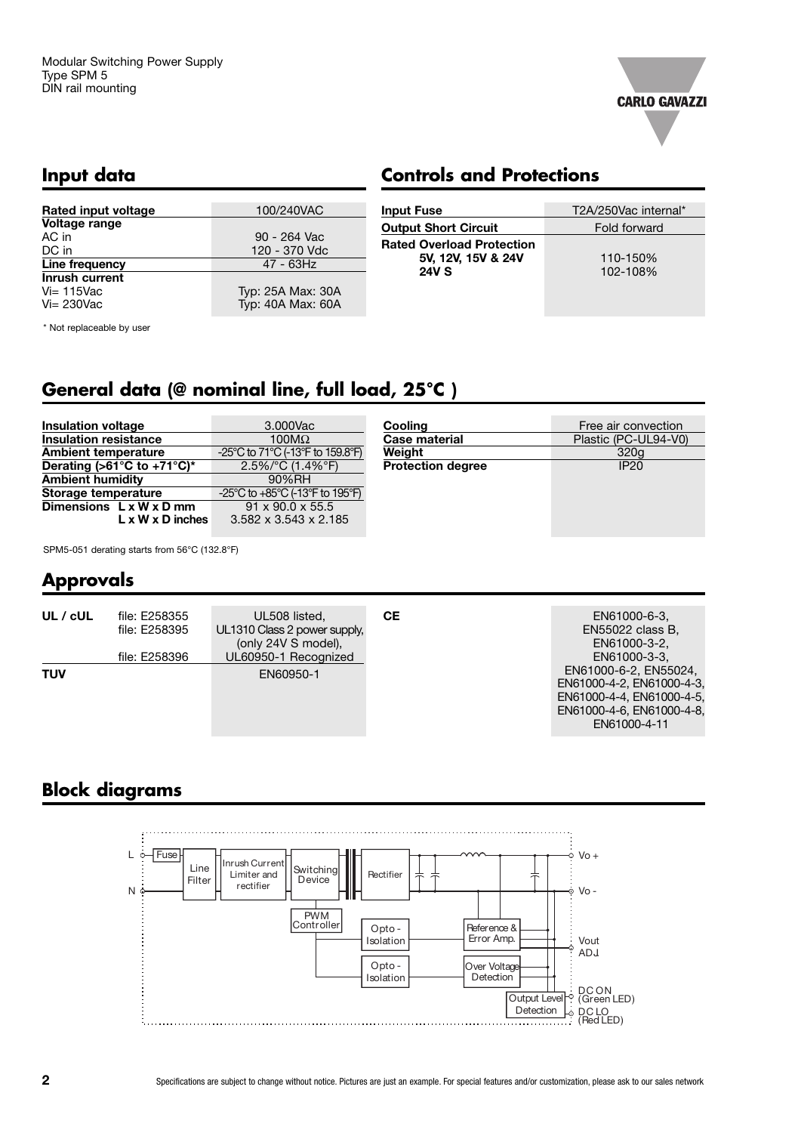

## **Input data**

# **Controls and Protections**

| <b>Rated input voltage</b> | 100/240VAC        | <b>Input Fus</b> |
|----------------------------|-------------------|------------------|
| Voltage range              |                   | <b>Output Sh</b> |
| AC in                      | 90 - 264 Vac      | <b>Rated Ove</b> |
| DC in                      | 120 - 370 Vdc     |                  |
| Line frequency             | 47 - 63Hz         | 5V,              |
| Inrush current             |                   | 24\              |
| $Vi = 115$ Vac             | Typ: 25A Max: 30A |                  |
| $Vi = 230$ Vac             | Typ: 40A Max: 60A |                  |
|                            |                   |                  |

\* Not replaceable by user

| <b>Input Fuse</b>                                                      | T2A/250Vac internal* |
|------------------------------------------------------------------------|----------------------|
| <b>Output Short Circuit</b>                                            | Fold forward         |
| <b>Rated Overload Protection</b><br>5V, 12V, 15V & 24V<br><b>24V S</b> | 110-150%<br>102-108% |
|                                                                        |                      |

# **General data (@ nominal line, full load, 25°C )**

| <b>Insulation voltage</b>                             | 3.000Vac                          | Cooling                  | Free air convection  |
|-------------------------------------------------------|-----------------------------------|--------------------------|----------------------|
| Insulation resistance                                 | 100 $M\Omega$                     | <b>Case material</b>     | Plastic (PC-UL94-V0) |
| <b>Ambient temperature</b>                            | -25°C to 71°C (-13°F to 159.8°F)  | Weight                   | 320 <sub>a</sub>     |
| Derating (>61 $\overline{C}$ to +71 $\overline{C}$ )* | $2.5\%$ /°C (1.4%°F)              | <b>Protection degree</b> | <b>IP20</b>          |
| <b>Ambient humidity</b>                               | 90%RH                             |                          |                      |
| Storage temperature                                   | -25°C to +85°C (-13°F to 195°F)   |                          |                      |
| Dimensions $L \times W \times D$ mm                   | $91 \times 90.0 \times 55.5$      |                          |                      |
| $L \times W \times D$ inches                          | $3.582 \times 3.543 \times 2.185$ |                          |                      |

SPM5-051 derating starts from 56°C (132.8°F)

# **Approvals**

| UL / cUL   | file: E258355<br>file: E258395 | UL508 listed,<br>UL1310 Class 2 power supply,<br>(only 24V S model), | CE. | EN61000-6-3,<br>EN55022 class B,<br>EN61000-3-2,                                                                                             |
|------------|--------------------------------|----------------------------------------------------------------------|-----|----------------------------------------------------------------------------------------------------------------------------------------------|
| <b>TUV</b> | file: E258396                  | UL60950-1 Recognized<br>EN60950-1                                    |     | EN61000-3-3.<br>EN61000-6-2, EN55024,<br>EN61000-4-2, EN61000-4-3.<br>EN61000-4-4, EN61000-4-5.<br>EN61000-4-6, EN61000-4-8.<br>EN61000-4-11 |

# **Block diagrams**